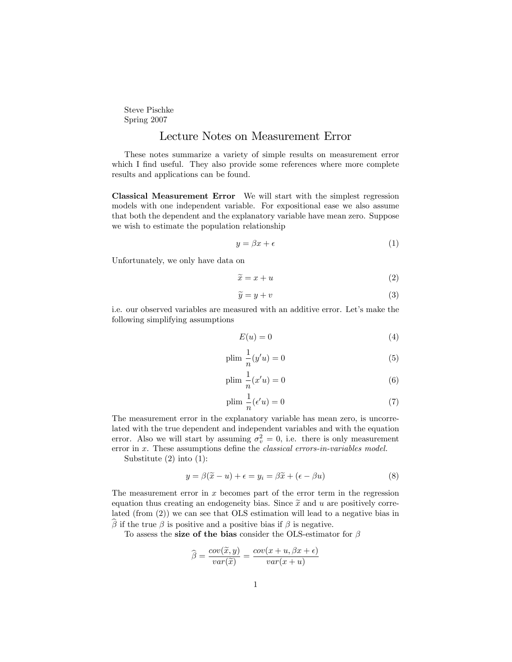Steve Pischke Spring 2007

## Lecture Notes on Measurement Error

These notes summarize a variety of simple results on measurement error which I find useful. They also provide some references where more complete results and applications can be found.

Classical Measurement Error We will start with the simplest regression models with one independent variable. For expositional ease we also assume that both the dependent and the explanatory variable have mean zero. Suppose we wish to estimate the population relationship

$$
y = \beta x + \epsilon \tag{1}
$$

Unfortunately, we only have data on

$$
\widetilde{x} = x + u \tag{2}
$$

$$
\widetilde{y} = y + v \tag{3}
$$

i.e. our observed variables are measured with an additive error. Let's make the following simplifying assumptions

$$
E(u) = 0 \tag{4}
$$

$$
\text{plim } \frac{1}{n}(y'u) = 0\tag{5}
$$

$$
\text{plim } \frac{1}{n}(x'u) = 0 \tag{6}
$$

$$
\text{plim } \frac{1}{n} (\epsilon'u) = 0 \tag{7}
$$

The measurement error in the explanatory variable has mean zero, is uncorrelated with the true dependent and independent variables and with the equation error. Also we will start by assuming  $\sigma_v^2 = 0$ , i.e. there is only measurement error in  $x$ . These assumptions define the *classical errors-in-variables model*.

Substitute (2) into (1):

$$
y = \beta(\tilde{x} - u) + \epsilon = y_i = \beta \tilde{x} + (\epsilon - \beta u)
$$
\n(8)

The measurement error in  $x$  becomes part of the error term in the regression equation thus creating an endogeneity bias. Since  $\tilde{x}$  and u are positively correlated (from (2)) we can see that OLS estimation will lead to a negative bias in  $\beta$  if the true  $\beta$  is positive and a positive bias if  $\beta$  is negative.

To assess the size of the bias consider the OLS-estimator for  $\beta$ 

$$
\widehat{\beta} = \frac{cov(\widetilde{x}, y)}{var(\widetilde{x})} = \frac{cov(x + u, \beta x + \epsilon)}{var(x + u)}
$$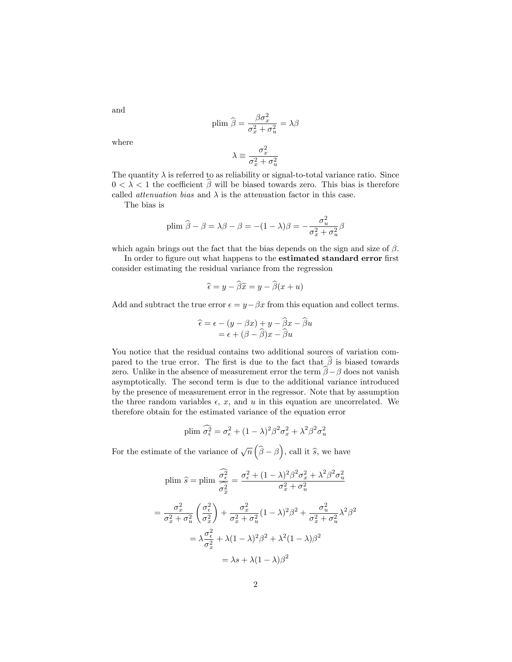$$
\mathrm{plim}\ \widehat{\boldsymbol{\beta}} = \frac{\beta \sigma_x^2}{\sigma_x^2 + \sigma_u^2} = \lambda \boldsymbol{\beta}
$$

where

and

$$
\lambda \equiv \frac{\sigma_x^2}{\sigma_x^2 + \sigma_u^2}
$$

The quantity  $\lambda$  is referred to as reliability or signal-to-total variance ratio. Since  $0 < \lambda < 1$  the coefficient  $\widehat{\beta}$  will be biased towards zero. This bias is therefore called *attenuation bias* and  $\lambda$  is the attenuation factor in this case.

The bias is

plim 
$$
\hat{\beta} - \beta = \lambda \beta - \beta = -(1 - \lambda)\beta = -\frac{\sigma_u^2}{\sigma_x^2 + \sigma_u^2} \beta
$$

which again brings out the fact that the bias depends on the sign and size of  $\beta$ .

In order to figure out what happens to the **estimated standard error** first consider estimating the residual variance from the regression

$$
\widehat{\epsilon} = y - \widehat{\beta}\widetilde{x} = y - \widehat{\beta}(x + u)
$$

Add and subtract the true error  $\epsilon = y - \beta x$  from this equation and collect terms.

$$
\widehat{\epsilon} = \epsilon - (y - \beta x) + y - \widehat{\beta} x - \widehat{\beta} u \n= \epsilon + (\beta - \widehat{\beta}) x - \widehat{\beta} u
$$

You notice that the residual contains two additional sources of variation compared to the true error. The first is due to the fact that  $\beta$  is biased towards zero. Unlike in the absence of measurement error the term  $\hat{\beta} - \beta$  does not vanish asymptotically. The second term is due to the additional variance introduced by the presence of measurement error in the regressor. Note that by assumption the three random variables  $\epsilon$ , x, and u in this equation are uncorrelated. We therefore obtain for the estimated variance of the equation error

plim 
$$
\widehat{\sigma_{\epsilon}^2} = \sigma_{\epsilon}^2 + (1 - \lambda)^2 \beta^2 \sigma_x^2 + \lambda^2 \beta^2 \sigma_u^2
$$

For the estimate of the variance of  $\sqrt{n}(\hat{\beta}-\beta)$ , call it  $\hat{s}$ , we have

$$
\text{plim } \hat{s} = \text{plim } \frac{\widehat{\sigma_{\epsilon}^{2}}}{\sigma_{\tilde{x}}^{2}} = \frac{\sigma_{\epsilon}^{2} + (1 - \lambda)^{2} \beta^{2} \sigma_{x}^{2} + \lambda^{2} \beta^{2} \sigma_{u}^{2}}{\sigma_{x}^{2} + \sigma_{u}^{2}}
$$
\n
$$
= \frac{\sigma_{x}^{2}}{\sigma_{x}^{2} + \sigma_{u}^{2}} \left(\frac{\sigma_{\epsilon}^{2}}{\sigma_{x}^{2}}\right) + \frac{\sigma_{x}^{2}}{\sigma_{x}^{2} + \sigma_{u}^{2}} (1 - \lambda)^{2} \beta^{2} + \frac{\sigma_{u}^{2}}{\sigma_{x}^{2} + \sigma_{u}^{2}} \lambda^{2} \beta^{2}
$$
\n
$$
= \lambda \frac{\sigma_{\epsilon}^{2}}{\sigma_{x}^{2}} + \lambda (1 - \lambda)^{2} \beta^{2} + \lambda^{2} (1 - \lambda) \beta^{2}
$$
\n
$$
= \lambda s + \lambda (1 - \lambda) \beta^{2}
$$

2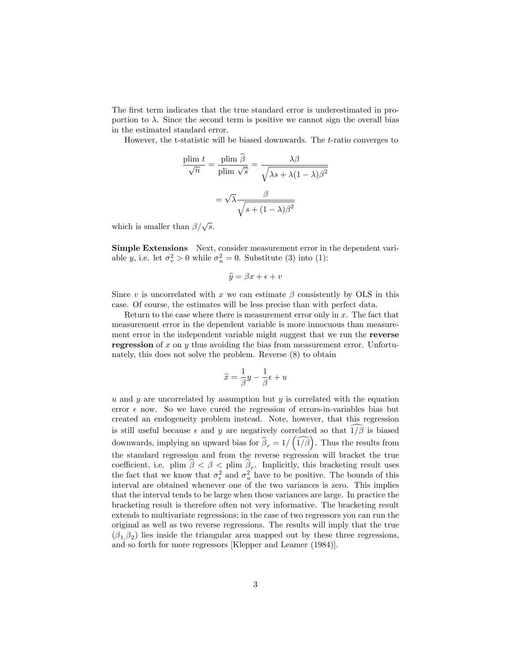The first term indicates that the true standard error is underestimated in proportion to  $\lambda$ . Since the second term is positive we cannot sign the overall bias in the estimated standard error.

However, the t-statistic will be biased downwards. The t-ratio converges to

$$
\frac{\text{plim } t}{\sqrt{n}} = \frac{\text{plim } \hat{\beta}}{\text{plim } \sqrt{\hat{s}}} = \frac{\lambda \beta}{\sqrt{\lambda s + \lambda (1 - \lambda) \beta^2}}
$$

$$
= \sqrt{\lambda} \frac{\beta}{\sqrt{s + (1 - \lambda) \beta^2}}
$$

which is smaller than  $\beta/\sqrt{s}$ .

Simple Extensions Next, consider measurement error in the dependent variable *y*, i.e. let  $\sigma_v^2 > 0$  while  $\sigma_u^2 = 0$ . Substitute (3) into (1):

$$
\widetilde{y} = \beta x + \epsilon + v
$$

Since v is uncorrelated with x we can estimate  $\beta$  consistently by OLS in this case. Of course, the estimates will be less precise than with perfect data.

Return to the case where there is measurement error only in  $x$ . The fact that measurement error in the dependent variable is more innocuous than measurement error in the independent variable might suggest that we run the reverse regression of x on y thus avoiding the bias from measurement error. Unfortunately, this does not solve the problem. Reverse (8) to obtain

$$
\widetilde{x} = \frac{1}{\beta}y - \frac{1}{\beta}\epsilon + u
$$

u and y are uncorrelated by assumption but  $y$  is correlated with the equation error  $\epsilon$  now. So we have cured the regression of errors-in-variables bias but created an endogeneity problem instead. Note, however, that this regression is still useful because  $\epsilon$  and y are negatively correlated so that  $\widehat{1/\beta}$  is biased downwards, implying an upward bias for  $\widehat{\beta}_r = 1/\left(\widehat{1/\beta}\right)$ . Thus the results from the standard regression and from the reverse regression will bracket the true coefficient, i.e. plim  $\beta < \beta <$  plim  $\beta_r$ . Implicitly, this bracketing result uses the fact that we know that  $\sigma_{\epsilon}^2$  and  $\sigma_{u}^2$  have to be positive. The bounds of this interval are obtained whenever one of the two variances is zero. This implies that the interval tends to be large when these variances are large. In practice the bracketing result is therefore often not very informative. The bracketing result extends to multivariate regressions: in the case of two regressors you can run the original as well as two reverse regressions. The results will imply that the true  $(\beta_1,\beta_2)$  lies inside the triangular area mapped out by these three regressions, and so forth for more regressors [Klepper and Leamer (1984)].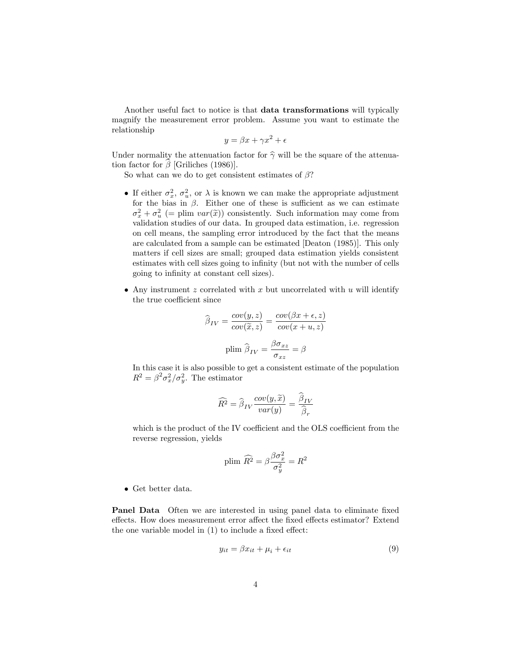Another useful fact to notice is that data transformations will typically magnify the measurement error problem. Assume you want to estimate the relationship

$$
y = \beta x + \gamma x^2 + \epsilon
$$

Under normality the attenuation factor for  $\hat{\gamma}$  will be the square of the attenuation factor for  $\hat{\beta}$  [Griliches (1986)].

So what can we do to get consistent estimates of  $\beta$ ?

- If either  $\sigma_x^2$ ,  $\sigma_u^2$ , or  $\lambda$  is known we can make the appropriate adjustment for the bias in  $\beta$ . Either one of these is sufficient as we can estimate  $\sigma_x^2 + \sigma_u^2$  (= plim  $var(\tilde{x})$ ) consistently. Such information may come from validation studies of our data. In grouped data estimation, i.e. regression on cell means, the sampling error introduced by the fact that the means are calculated from a sample can be estimated [Deaton (1985)]. This only matters if cell sizes are small; grouped data estimation yields consistent estimates with cell sizes going to infinity (but not with the number of cells going to inÖnity at constant cell sizes).
- Any instrument  $z$  correlated with  $x$  but uncorrelated with  $u$  will identify the true coefficient since

$$
\hat{\beta}_{IV} = \frac{cov(y, z)}{cov(\tilde{x}, z)} = \frac{cov(\beta x + \epsilon, z)}{cov(x + u, z)}
$$
  
plim  $\hat{\beta}_{IV} = \frac{\beta \sigma_{xz}}{\sigma_{xz}} = \beta$ 

In this case it is also possible to get a consistent estimate of the population  $R^2 = \beta^2 \sigma_x^2 / \sigma_y^2$ . The estimator

$$
\widehat{R^2} = \widehat{\beta}_{IV} \frac{cov(y, \widetilde{x})}{var(y)} = \frac{\widehat{\beta}_{IV}}{\widehat{\beta}_r}
$$

which is the product of the IV coefficient and the OLS coefficient from the reverse regression, yields

plim 
$$
\widehat{R^2} = \beta \frac{\beta \sigma_x^2}{\sigma_y^2} = R^2
$$

Get better data.

Panel Data Often we are interested in using panel data to eliminate fixed effects. How does measurement error affect the fixed effects estimator? Extend the one variable model in  $(1)$  to include a fixed effect:

$$
y_{it} = \beta x_{it} + \mu_i + \epsilon_{it} \tag{9}
$$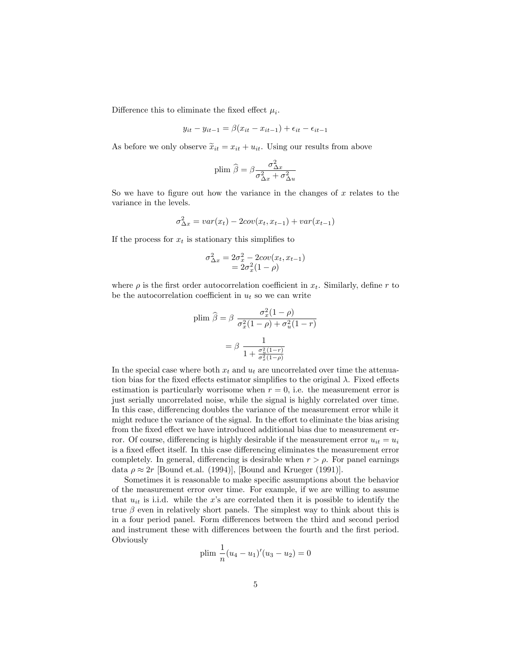Difference this to eliminate the fixed effect  $\mu_i$ .

$$
y_{it} - y_{it-1} = \beta(x_{it} - x_{it-1}) + \epsilon_{it} - \epsilon_{it-1}
$$

As before we only observe  $\tilde{x}_{it} = x_{it} + u_{it}$ . Using our results from above

$$
\text{plim}\,\,\widehat{\boldsymbol{\beta}} = \beta \frac{\sigma_{\Delta x}^2}{\sigma_{\Delta x}^2 + \sigma_{\Delta u}^2}
$$

So we have to figure out how the variance in the changes of  $x$  relates to the variance in the levels.

$$
\sigma_{\Delta x}^2 = var(x_t) - 2cov(x_t, x_{t-1}) + var(x_{t-1})
$$

If the process for  $x_t$  is stationary this simplifies to

$$
\sigma_{\Delta x}^2 = 2\sigma_x^2 - 2cov(x_t, x_{t-1})
$$
  
=  $2\sigma_x^2(1 - \rho)$ 

where  $\rho$  is the first order autocorrelation coefficient in  $x_t$ . Similarly, define r to be the autocorrelation coefficient in  $u_t$  so we can write

$$
\text{plim } \hat{\beta} = \beta \frac{\sigma_x^2 (1 - \rho)}{\sigma_x^2 (1 - \rho) + \sigma_u^2 (1 - r)}
$$
\n
$$
= \beta \frac{1}{1 + \frac{\sigma_u^2 (1 - r)}{\sigma_x^2 (1 - \rho)}}
$$

In the special case where both  $x_t$  and  $u_t$  are uncorrelated over time the attenuation bias for the fixed effects estimator simplifies to the original  $\lambda$ . Fixed effects estimation is particularly worrisome when  $r = 0$ , i.e. the measurement error is just serially uncorrelated noise, while the signal is highly correlated over time. In this case, differencing doubles the variance of the measurement error while it might reduce the variance of the signal. In the effort to eliminate the bias arising from the fixed effect we have introduced additional bias due to measurement error. Of course, differencing is highly desirable if the measurement error  $u_{it} = u_i$ is a fixed effect itself. In this case differencing eliminates the measurement error completely. In general, differencing is desirable when  $r > \rho$ . For panel earnings data  $\rho \approx 2r$  [Bound et.al. (1994)], [Bound and Krueger (1991)].

Sometimes it is reasonable to make specific assumptions about the behavior of the measurement error over time. For example, if we are willing to assume that  $u_{it}$  is i.i.d. while the x's are correlated then it is possible to identify the true  $\beta$  even in relatively short panels. The simplest way to think about this is in a four period panel. Form differences between the third and second period and instrument these with differences between the fourth and the first period. **Obviously** 

plim 
$$
\frac{1}{n}(u_4 - u_1)'(u_3 - u_2) = 0
$$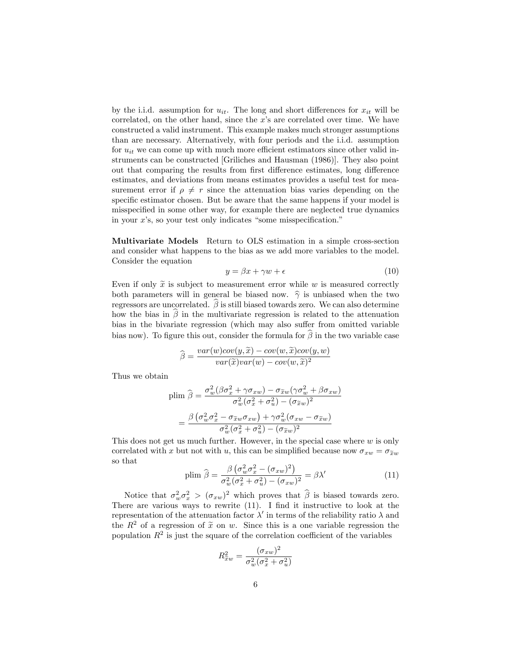by the i.i.d. assumption for  $u_{it}$ . The long and short differences for  $x_{it}$  will be correlated, on the other hand, since the  $x$ 's are correlated over time. We have constructed a valid instrument. This example makes much stronger assumptions than are necessary. Alternatively, with four periods and the i.i.d. assumption for  $u_{it}$  we can come up with much more efficient estimators since other valid instruments can be constructed [Griliches and Hausman (1986)]. They also point out that comparing the results from first difference estimates, long difference estimates, and deviations from means estimates provides a useful test for measurement error if  $\rho \neq r$  since the attenuation bias varies depending on the specific estimator chosen. But be aware that the same happens if your model is misspecified in some other way, for example there are neglected true dynamics in your  $x$ 's, so your test only indicates "some misspecification."

Multivariate Models Return to OLS estimation in a simple cross-section and consider what happens to the bias as we add more variables to the model. Consider the equation

$$
y = \beta x + \gamma w + \epsilon \tag{10}
$$

Even if only  $\tilde{x}$  is subject to measurement error while w is measured correctly both parameters will in general be biased now.  $\hat{\gamma}$  is unbiased when the two regressors are uncorrelated.  $\widehat{\beta}$  is still biased towards zero. We can also determine how the bias in  $\hat{\beta}$  in the multivariate regression is related to the attenuation bias in the bivariate regression (which may also suffer from omitted variable bias now). To figure this out, consider the formula for  $\hat{\beta}$  in the two variable case

$$
\widehat{\beta} = \frac{var(w)cov(y, \widetilde{x}) - cov(w, \widetilde{x})cov(y, w)}{var(\widetilde{x})var(w) - cov(w, \widetilde{x})^2}
$$

Thus we obtain

$$
\text{plim } \hat{\beta} = \frac{\sigma_w^2 (\beta \sigma_x^2 + \gamma \sigma_{xw}) - \sigma_{\tilde{x}w} (\gamma \sigma_w^2 + \beta \sigma_{xw})}{\sigma_w^2 (\sigma_x^2 + \sigma_u^2) - (\sigma_{\tilde{x}w})^2}
$$
\n
$$
= \frac{\beta (\sigma_w^2 \sigma_x^2 - \sigma_{\tilde{x}w} \sigma_{xw}) + \gamma \sigma_w^2 (\sigma_{xw} - \sigma_{\tilde{x}w})}{\sigma_w^2 (\sigma_x^2 + \sigma_u^2) - (\sigma_{\tilde{x}w})^2}
$$

This does not get us much further. However, in the special case where  $w$  is only correlated with x but not with u, this can be simplified because now  $\sigma_{xw} = \sigma_{\tilde{x}w}$ so that

$$
\text{plim } \hat{\beta} = \frac{\beta \left(\sigma_w^2 \sigma_x^2 - (\sigma_{xw})^2\right)}{\sigma_w^2 (\sigma_x^2 + \sigma_w^2) - (\sigma_{xw})^2} = \beta \lambda' \tag{11}
$$

Notice that  $\sigma_w^2 \sigma_x^2 > (\sigma_{xw})^2$  which proves that  $\hat{\beta}$  is biased towards zero. There are various ways to rewrite  $(11)$ . I find it instructive to look at the representation of the attenuation factor  $\lambda'$  in terms of the reliability ratio  $\lambda$  and the  $R^2$  of a regression of  $\tilde{x}$  on w. Since this is a one variable regression the population  $R^2$  is just the square of the correlation coefficient of the variables

$$
R_{\widetilde{x}w}^2 = \frac{(\sigma_{xw})^2}{\sigma_w^2(\sigma_x^2 + \sigma_u^2)}
$$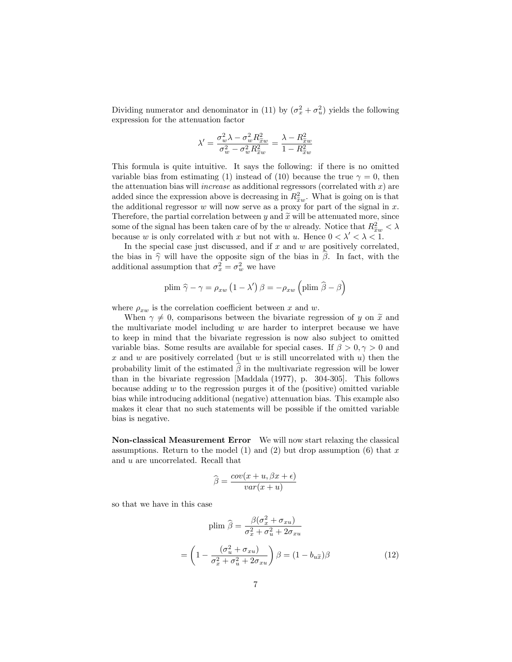Dividing numerator and denominator in (11) by  $(\sigma_x^2 + \sigma_u^2)$  yields the following expression for the attenuation factor

$$
\lambda' = \frac{\sigma_w^2 \lambda - \sigma_w^2 R_{\tilde{x}w}^2}{\sigma_w^2 - \sigma_w^2 R_{\tilde{x}w}^2} = \frac{\lambda - R_{\tilde{x}w}^2}{1 - R_{\tilde{x}w}^2}
$$

This formula is quite intuitive. It says the following: if there is no omitted variable bias from estimating (1) instead of (10) because the true  $\gamma = 0$ , then the attenuation bias will *increase* as additional regressors (correlated with  $x$ ) are added since the expression above is decreasing in  $R_{\tilde{x}w}^2$ . What is going on is that the additional parameter  $w$  will now some see a pressure for part of the signal in  $x$ the additional regressor  $w$  will now serve as a proxy for part of the signal in  $x$ . Therefore, the partial correlation between y and  $\tilde{x}$  will be attenuated more, since some of the signal has been taken care of by the w already. Notice that  $R_{\tilde{x}w}^2 < \lambda$ because w is only correlated with x but not with u. Hence  $0 < \lambda' < \lambda < 1$ .

In the special case just discussed, and if  $x$  and  $w$  are positively correlated, the bias in  $\hat{\gamma}$  will have the opposite sign of the bias in  $\hat{\beta}$ . In fact, with the additional assumption that  $\sigma_x^2 = \sigma_w^2$  we have

plim 
$$
\hat{\gamma} - \gamma = \rho_{xw} (1 - \lambda') \beta = -\rho_{xw} (\text{plim } \hat{\beta} - \beta)
$$

where  $\rho_{xw}$  is the correlation coefficient between x and w.

When  $\gamma \neq 0$ , comparisons between the bivariate regression of y on  $\tilde{x}$  and the multivariate model including  $w$  are harder to interpret because we have to keep in mind that the bivariate regression is now also subject to omitted variable bias. Some results are available for special cases. If  $\beta > 0, \gamma > 0$  and  $x$  and  $w$  are positively correlated (but  $w$  is still uncorrelated with  $u$ ) then the probability limit of the estimated  $\beta$  in the multivariate regression will be lower than in the bivariate regression [Maddala (1977), p. 304-305]. This follows because adding  $w$  to the regression purges it of the (positive) omitted variable bias while introducing additional (negative) attenuation bias. This example also makes it clear that no such statements will be possible if the omitted variable bias is negative.

Non-classical Measurement Error We will now start relaxing the classical assumptions. Return to the model (1) and (2) but drop assumption (6) that  $x$ and u are uncorrelated. Recall that

$$
\widehat{\beta} = \frac{cov(x+u, \beta x + \epsilon)}{var(x+u)}
$$

so that we have in this case

=

$$
\text{plim } \hat{\beta} = \frac{\beta(\sigma_x^2 + \sigma_{xu})}{\sigma_x^2 + \sigma_u^2 + 2\sigma_{xu}}
$$
\n
$$
= \left(1 - \frac{(\sigma_u^2 + \sigma_{xu})}{\sigma_x^2 + \sigma_u^2 + 2\sigma_{xu}}\right) \beta = (1 - b_{u\tilde{x}})\beta \tag{12}
$$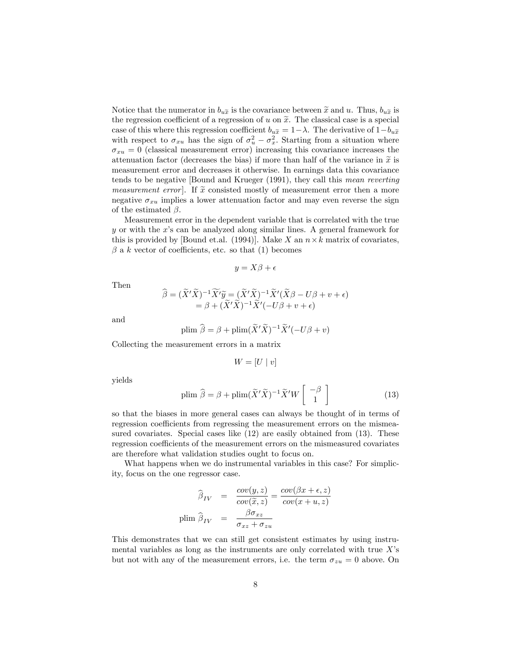Notice that the numerator in  $b_{u\tilde{x}}$  is the covariance between  $\tilde{x}$  and u. Thus,  $b_{u\tilde{x}}$  is the regression coefficient of a regression of u on  $\tilde{x}$ . The classical case is a special case of this where this regression coefficient  $b_{u\tilde{x}} = 1 - \lambda$ . The derivative of  $1 - b_{u\tilde{x}}$ with respect to  $\sigma_{xu}$  has the sign of  $\sigma_u^2 - \sigma_x^2$ . Starting from a situation where  $\sigma_{xu} = 0$  (classical measurement error) increasing this covariance increases the attenuation factor (decreases the bias) if more than half of the variance in  $\tilde{x}$  is measurement error and decreases it otherwise. In earnings data this covariance tends to be negative [Bound and Krueger (1991), they call this mean reverting *measurement error*. If  $\tilde{x}$  consisted mostly of measurement error then a more negative  $\sigma_{xu}$  implies a lower attenuation factor and may even reverse the sign of the estimated  $\beta$ .

Measurement error in the dependent variable that is correlated with the true  $y$  or with the  $x$ 's can be analyzed along similar lines. A general framework for this is provided by [Bound et.al. (1994)]. Make X an  $n \times k$  matrix of covariates,  $\beta$  a k vector of coefficients, etc. so that (1) becomes

$$
y = X\beta + \epsilon
$$

Then

$$
\widehat{\beta} = (\widetilde{X}'\widetilde{X})^{-1}\widetilde{X}'\widetilde{y} = (\widetilde{X}'\widetilde{X})^{-1}\widetilde{X}'(\widetilde{X}\beta - U\beta + v + \epsilon) \n= \beta + (\widetilde{X}'\widetilde{X})^{-1}\widetilde{X}'(-U\beta + v + \epsilon)
$$

and

plim 
$$
\hat{\beta} = \beta + \text{plim}(\tilde{X}'\tilde{X})^{-1}\tilde{X}'(-U\beta + v)
$$

Collecting the measurement errors in a matrix

$$
W = [U \mid v]
$$

yields

$$
\text{plim } \widehat{\beta} = \beta + \text{plim}(\widetilde{X}'\widetilde{X})^{-1}\widetilde{X}'W\left[\begin{array}{c} -\beta\\1 \end{array}\right]
$$
 (13)

so that the biases in more general cases can always be thought of in terms of regression coefficients from regressing the measurement errors on the mismeasured covariates. Special cases like  $(12)$  are easily obtained from  $(13)$ . These regression coefficients of the measurement errors on the mismeasured covariates are therefore what validation studies ought to focus on.

What happens when we do instrumental variables in this case? For simplicity, focus on the one regressor case.

$$
\widehat{\beta}_{IV} = \frac{cov(y, z)}{cov(\widetilde{x}, z)} = \frac{cov(\beta x + \epsilon, z)}{cov(x + u, z)}
$$
  
plim  $\widehat{\beta}_{IV} = \frac{\beta \sigma_{xz}}{\sigma_{xz} + \sigma_{zu}}$ 

This demonstrates that we can still get consistent estimates by using instrumental variables as long as the instruments are only correlated with true  $X$ 's but not with any of the measurement errors, i.e. the term  $\sigma_{zu} = 0$  above. On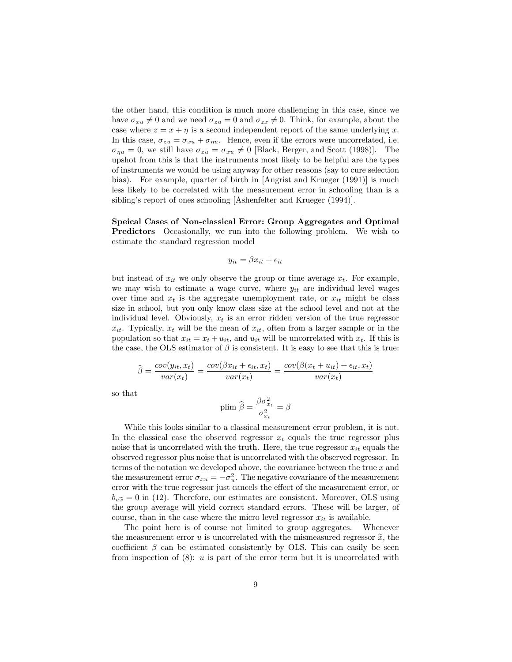the other hand, this condition is much more challenging in this case, since we have  $\sigma_{xu} \neq 0$  and we need  $\sigma_{zu} = 0$  and  $\sigma_{zx} \neq 0$ . Think, for example, about the case where  $z = x + \eta$  is a second independent report of the same underlying x. In this case,  $\sigma_{zu} = \sigma_{xu} + \sigma_{\eta u}$ . Hence, even if the errors were uncorrelated, i.e.  $\sigma_{\eta u} = 0$ , we still have  $\sigma_{\chi u} = \sigma_{x u} \neq 0$  [Black, Berger, and Scott (1998)]. The upshot from this is that the instruments most likely to be helpful are the types of instruments we would be using anyway for other reasons (say to cure selection bias). For example, quarter of birth in [Angrist and Krueger (1991)] is much less likely to be correlated with the measurement error in schooling than is a sibling's report of ones schooling [Ashenfelter and Krueger (1994)].

Speical Cases of Non-classical Error: Group Aggregates and Optimal Predictors Occasionally, we run into the following problem. We wish to estimate the standard regression model

$$
y_{it} = \beta x_{it} + \epsilon_{it}
$$

but instead of  $x_{it}$  we only observe the group or time average  $x_t$ . For example, we may wish to estimate a wage curve, where  $y_{it}$  are individual level wages over time and  $x_t$  is the aggregate unemployment rate, or  $x_{it}$  might be class size in school, but you only know class size at the school level and not at the individual level. Obviously,  $x_t$  is an error ridden version of the true regressor  $x_{it}$ . Typically,  $x_t$  will be the mean of  $x_{it}$ , often from a larger sample or in the population so that  $x_{it} = x_t + u_{it}$ , and  $u_{it}$  will be uncorrelated with  $x_t$ . If this is the case, the OLS estimator of  $\beta$  is consistent. It is easy to see that this is true:

$$
\widehat{\beta} = \frac{cov(y_{it}, x_t)}{var(x_t)} = \frac{cov(\beta x_{it} + \epsilon_{it}, x_t)}{var(x_t)} = \frac{cov(\beta(x_t + u_{it}) + \epsilon_{it}, x_t)}{var(x_t)}
$$

so that

$$
\text{plim }\widehat{\boldsymbol{\beta}} = \frac{\beta \sigma_{x_t}^2}{\sigma_{x_t}^2} = \boldsymbol{\beta}
$$

While this looks similar to a classical measurement error problem, it is not. In the classical case the observed regressor  $x_t$  equals the true regressor plus noise that is uncorrelated with the truth. Here, the true regressor  $x_{it}$  equals the observed regressor plus noise that is uncorrelated with the observed regressor. In terms of the notation we developed above, the covariance between the true  $x$  and the measurement error  $\sigma_{xu} = -\sigma_u^2$ . The negative covariance of the measurement error with the true regressor just cancels the effect of the measurement error, or  $b_{u\tilde{x}} = 0$  in (12). Therefore, our estimates are consistent. Moreover, OLS using the group average will yield correct standard errors. These will be larger, of course, than in the case where the micro level regressor  $x_{it}$  is available.

The point here is of course not limited to group aggregates. Whenever the measurement error u is uncorrelated with the mismeasured regressor  $\tilde{x}$ , the coefficient  $\beta$  can be estimated consistently by OLS. This can easily be seen from inspection of  $(8)$ : u is part of the error term but it is uncorrelated with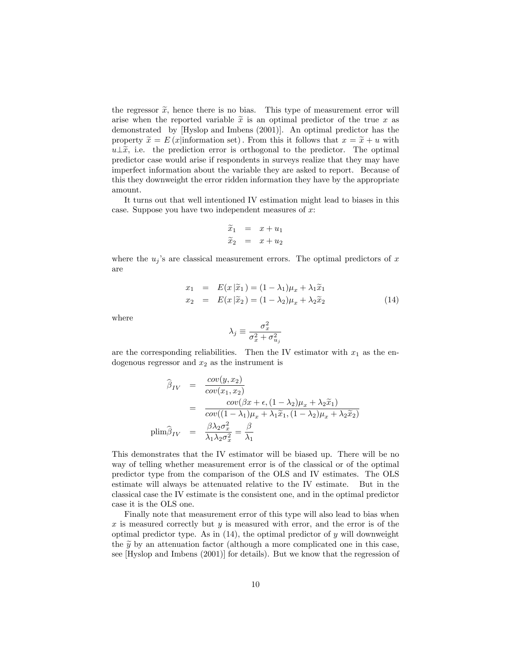the regressor  $\tilde{x}$ , hence there is no bias. This type of measurement error will arise when the reported variable  $\tilde{x}$  is an optimal predictor of the true x as demonstrated by [Hyslop and Imbens (2001)]. An optimal predictor has the property  $\tilde{x} = E(x)$  information set). From this it follows that  $x = \tilde{x} + u$  with  $u \perp \tilde{x}$ , i.e. the prediction error is orthogonal to the predictor. The optimal predictor case would arise if respondents in surveys realize that they may have imperfect information about the variable they are asked to report. Because of this they downweight the error ridden information they have by the appropriate amount.

It turns out that well intentioned IV estimation might lead to biases in this case. Suppose you have two independent measures of  $x$ :

$$
\begin{array}{rcl}\n\widetilde{x}_1 & = & x + u_1 \\
\widetilde{x}_2 & = & x + u_2\n\end{array}
$$

where the  $u_j$ 's are classical measurement errors. The optimal predictors of x are

$$
x_1 = E(x|\tilde{x}_1) = (1 - \lambda_1)\mu_x + \lambda_1 \tilde{x}_1
$$
  

$$
x_2 = E(x|\tilde{x}_2) = (1 - \lambda_2)\mu_x + \lambda_2 \tilde{x}_2
$$
 (14)

where

$$
\lambda_j \equiv \frac{\sigma_x^2}{\sigma_x^2 + \sigma_{u_j}^2}
$$

are the corresponding reliabilities. Then the IV estimator with  $x_1$  as the endogenous regressor and  $x_2$  as the instrument is

$$
\widehat{\beta}_{IV} = \frac{cov(y, x_2)}{cov(x_1, x_2)}
$$
\n
$$
= \frac{cov(\beta x + \epsilon, (1 - \lambda_2)\mu_x + \lambda_2 \widetilde{x}_1)}{cov((1 - \lambda_1)\mu_x + \lambda_1 \widetilde{x}_1, (1 - \lambda_2)\mu_x + \lambda_2 \widetilde{x}_2)}
$$
\n
$$
\text{plim}\widehat{\beta}_{IV} = \frac{\beta \lambda_2 \sigma_x^2}{\lambda_1 \lambda_2 \sigma_x^2} = \frac{\beta}{\lambda_1}
$$

This demonstrates that the IV estimator will be biased up. There will be no way of telling whether measurement error is of the classical or of the optimal predictor type from the comparison of the OLS and IV estimates. The OLS estimate will always be attenuated relative to the IV estimate. But in the classical case the IV estimate is the consistent one, and in the optimal predictor case it is the OLS one.

Finally note that measurement error of this type will also lead to bias when  $x$  is measured correctly but  $y$  is measured with error, and the error is of the optimal predictor type. As in  $(14)$ , the optimal predictor of y will downweight the  $\tilde{y}$  by an attenuation factor (although a more complicated one in this case, see [Hyslop and Imbens (2001)] for details). But we know that the regression of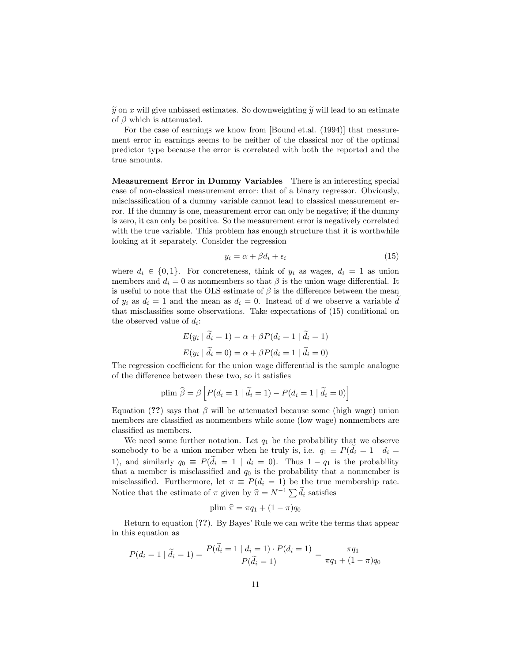$\widetilde{y}$  on x will give unbiased estimates. So downweighting  $\widetilde{y}$  will lead to an estimate of  $\beta$  which is attenuated.

For the case of earnings we know from [Bound et.al. (1994)] that measurement error in earnings seems to be neither of the classical nor of the optimal predictor type because the error is correlated with both the reported and the true amounts.

Measurement Error in Dummy Variables There is an interesting special case of non-classical measurement error: that of a binary regressor. Obviously, misclassification of a dummy variable cannot lead to classical measurement error. If the dummy is one, measurement error can only be negative; if the dummy is zero, it can only be positive. So the measurement error is negatively correlated with the true variable. This problem has enough structure that it is worthwhile looking at it separately. Consider the regression

$$
y_i = \alpha + \beta d_i + \epsilon_i \tag{15}
$$

where  $d_i \in \{0, 1\}$ . For concreteness, think of  $y_i$  as wages,  $d_i = 1$  as union members and  $d_i = 0$  as nonmembers so that  $\beta$  is the union wage differential. It is useful to note that the OLS estimate of  $\beta$  is the difference between the mean of  $y_i$  as  $d_i = 1$  and the mean as  $d_i = 0$ . Instead of d we observe a variable d that misclassifies some observations. Take expectations of  $(15)$  conditional on the observed value of  $d_i$ :

$$
E(y_i | d_i = 1) = \alpha + \beta P(d_i = 1 | d_i = 1)
$$
  

$$
E(y_i | \tilde{d}_i = 0) = \alpha + \beta P(d_i = 1 | \tilde{d}_i = 0)
$$

The regression coefficient for the union wage differential is the sample analogue of the difference between these two, so it satisfies

plim 
$$
\hat{\beta} = \beta \left[ P(d_i = 1 | \tilde{d}_i = 1) - P(d_i = 1 | \tilde{d}_i = 0) \right]
$$

Equation (??) says that  $\beta$  will be attenuated because some (high wage) union members are classified as nonmembers while some (low wage) nonmembers are classified as members.

We need some further notation. Let  $q_1$  be the probability that we observe somebody to be a union member when he truly is, i.e.  $q_1 \equiv P(d_i = 1 \mid d_i =$ 1), and similarly  $q_0 \equiv P(d_i = 1 \mid d_i = 0)$ . Thus  $1 - q_1$  is the probability that a member is misclassified and  $q_0$  is the probability that a nonmember is misclassified. Furthermore, let  $\pi \equiv P(d_i = 1)$  be the true membership rate. Notice that the estimate of  $\pi$  given by  $\hat{\pi} = N^{-1} \sum \tilde{d}_i$  satisfies

plim 
$$
\hat{\pi} = \pi q_1 + (1 - \pi) q_0
$$

Return to equation  $(??)$ . By Bayes' Rule we can write the terms that appear in this equation as

$$
P(d_i = 1 | \tilde{d}_i = 1) = \frac{P(d_i = 1 | d_i = 1) \cdot P(d_i = 1)}{P(\tilde{d}_i = 1)} = \frac{\pi q_1}{\pi q_1 + (1 - \pi) q_0}
$$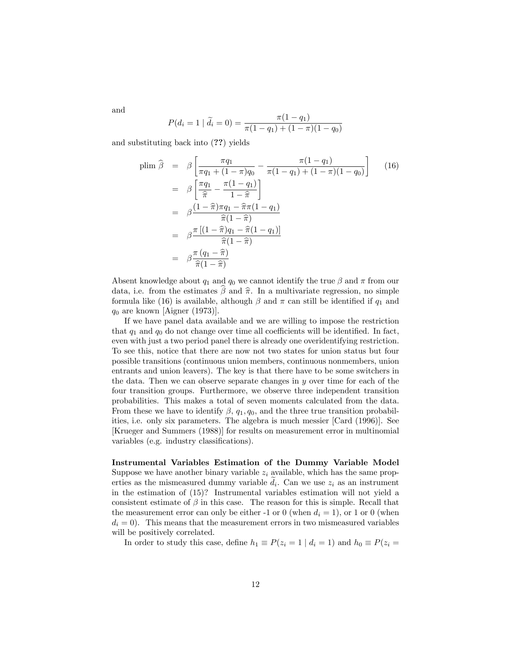and

$$
P(d_i = 1 | \tilde{d}_i = 0) = \frac{\pi (1 - q_1)}{\pi (1 - q_1) + (1 - \pi)(1 - q_0)}
$$

and substituting back into (??) yields

$$
\begin{aligned}\n\text{plim } \hat{\beta} &= \beta \left[ \frac{\pi q_1}{\pi q_1 + (1 - \pi) q_0} - \frac{\pi (1 - q_1)}{\pi (1 - q_1) + (1 - \pi) (1 - q_0)} \right] \tag{16} \\
&= \beta \left[ \frac{\pi q_1}{\hat{\pi}} - \frac{\pi (1 - q_1)}{1 - \hat{\pi}} \right] \\
&= \beta \frac{(1 - \hat{\pi}) \pi q_1 - \hat{\pi} \pi (1 - q_1)}{\hat{\pi} (1 - \hat{\pi})} \\
&= \beta \frac{\pi \left[ (1 - \hat{\pi}) q_1 - \hat{\pi} (1 - q_1) \right]}{\hat{\pi} (1 - \hat{\pi})} \\
&= \beta \frac{\pi (q_1 - \hat{\pi})}{\hat{\pi} (1 - \hat{\pi})}\n\end{aligned}
$$

Absent knowledge about  $q_1$  and  $q_0$  we cannot identify the true  $\beta$  and  $\pi$  from our data, i.e. from the estimates  $\beta$  and  $\hat{\pi}$ . In a multivariate regression, no simple formula like (16) is available, although  $\beta$  and  $\pi$  can still be identified if  $q_1$  and  $q_0$  are known [Aigner (1973)].

If we have panel data available and we are willing to impose the restriction that  $q_1$  and  $q_0$  do not change over time all coefficients will be identified. In fact, even with just a two period panel there is already one overidentifying restriction. To see this, notice that there are now not two states for union status but four possible transitions (continuous union members, continuous nonmembers, union entrants and union leavers). The key is that there have to be some switchers in the data. Then we can observe separate changes in y over time for each of the four transition groups. Furthermore, we observe three independent transition probabilities. This makes a total of seven moments calculated from the data. From these we have to identify  $\beta$ ,  $q_1, q_0$ , and the three true transition probabilities, i.e. only six parameters. The algebra is much messier [Card (1996)]. See [Krueger and Summers (1988)] for results on measurement error in multinomial variables (e.g. industry classifications).

## Instrumental Variables Estimation of the Dummy Variable Model

Suppose we have another binary variable  $z_i$  available, which has the same properties as the mismeasured dummy variable  $d_i$ . Can we use  $z_i$  as an instrument in the estimation of (15)? Instrumental variables estimation will not yield a consistent estimate of  $\beta$  in this case. The reason for this is simple. Recall that the measurement error can only be either -1 or 0 (when  $d_i = 1$ ), or 1 or 0 (when  $d_i = 0$ . This means that the measurement errors in two mismeasured variables will be positively correlated.

In order to study this case, define  $h_1 \equiv P(z_i = 1 \mid d_i = 1)$  and  $h_0 \equiv P(z_i =$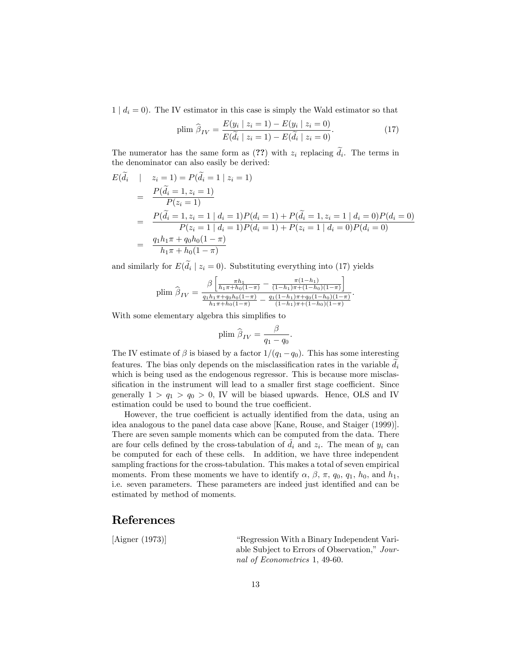$1 | d_i = 0$ ). The IV estimator in this case is simply the Wald estimator so that

plim 
$$
\hat{\beta}_{IV} = \frac{E(y_i \mid z_i = 1) - E(y_i \mid z_i = 0)}{E(\tilde{d}_i \mid z_i = 1) - E(\tilde{d}_i \mid z_i = 0)}.
$$
 (17)

The numerator has the same form as  $(??)$  with  $z_i$  replacing  $d_i$ . The terms in the denominator can also easily be derived:

$$
E(\tilde{d}_i \mid z_i = 1) = P(\tilde{d}_i = 1 | z_i = 1)
$$
  
= 
$$
\frac{P(\tilde{d}_i = 1, z_i = 1)}{P(z_i = 1)}
$$
  
= 
$$
\frac{P(\tilde{d}_i = 1, z_i = 1 | d_i = 1)P(d_i = 1) + P(\tilde{d}_i = 1, z_i = 1 | d_i = 0)P(d_i = 0)}{P(z_i = 1 | d_i = 1)P(d_i = 1) + P(z_i = 1 | d_i = 0)P(d_i = 0)}
$$
  
= 
$$
\frac{q_1 h_1 \pi + q_0 h_0 (1 - \pi)}{h_1 \pi + h_0 (1 - \pi)}
$$

and similarly for  $E(d_i \mid z_i = 0)$ . Substituting everything into (17) yields

$$
\text{plim } \widehat{\beta}_{IV} = \frac{\beta \left[ \frac{\pi h_1}{h_1 \pi + h_0 (1 - \pi)} - \frac{\pi (1 - h_1)}{(1 - h_1) \pi + (1 - h_0)(1 - \pi)} \right]}{\frac{q_1 h_1 \pi + q_0 h_0 (1 - \pi)}{h_1 \pi + h_0 (1 - \pi)} - \frac{q_1 (1 - h_1) \pi + q_0 (1 - h_0)(1 - \pi)}{(1 - h_1) \pi + (1 - h_0)(1 - \pi)}}.
$$

With some elementary algebra this simplifies to

plim 
$$
\hat{\beta}_{IV} = \frac{\beta}{q_1 - q_0}.
$$

The IV estimate of  $\beta$  is biased by a factor  $1/(q_1 - q_0)$ . This has some interesting features. The bias only depends on the misclassification rates in the variable  $d_i$ which is being used as the endogenous regressor. This is because more misclassification in the instrument will lead to a smaller first stage coefficient. Since generally  $1 > q_1 > q_0 > 0$ , IV will be biased upwards. Hence, OLS and IV estimation could be used to bound the true coefficient.

However, the true coefficient is actually identified from the data, using an idea analogous to the panel data case above [Kane, Rouse, and Staiger (1999)]. There are seven sample moments which can be computed from the data. There are four cells defined by the cross-tabulation of  $d_i$  and  $z_i$ . The mean of  $y_i$  can be computed for each of these cells. In addition, we have three independent sampling fractions for the cross-tabulation. This makes a total of seven empirical moments. From these moments we have to identify  $\alpha$ ,  $\beta$ ,  $\pi$ ,  $q_0$ ,  $q_1$ ,  $h_0$ , and  $h_1$ , i.e. seven parameters. These parameters are indeed just identified and can be estimated by method of moments.

## References

[Aigner (1973)] <sup>"</sup>Regression With a Binary Independent Variable Subject to Errors of Observation," Journal of Econometrics 1, 49-60.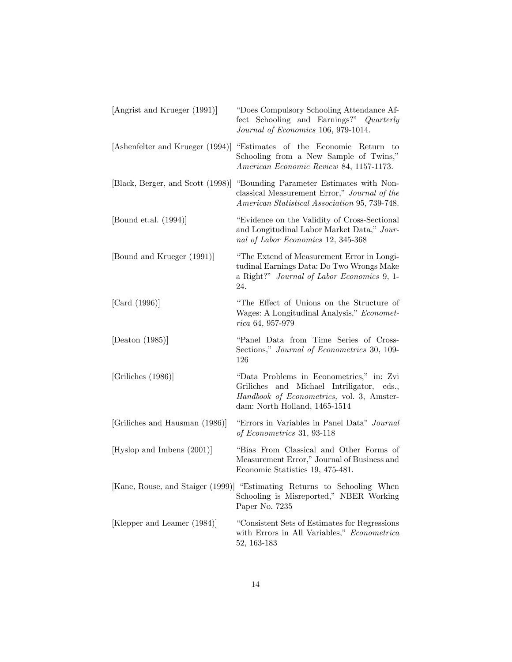| [Angrist and Krueger (1991)]      | "Does Compulsory Schooling Attendance Af-<br>fect Schooling and Earnings?" Quarterly<br>Journal of Economics 106, 979-1014.                                         |
|-----------------------------------|---------------------------------------------------------------------------------------------------------------------------------------------------------------------|
| [Ashenfelter and Krueger (1994)]  | "Estimates of the Economic Return to<br>Schooling from a New Sample of Twins,"<br>American Economic Review 84, 1157-1173.                                           |
| [Black, Berger, and Scott (1998)] | "Bounding Parameter Estimates with Non-<br>classical Measurement Error," Journal of the<br>American Statistical Association 95, 739-748.                            |
| [Bound et.al. $(1994)$ ]          | "Evidence on the Validity of Cross-Sectional"<br>and Longitudinal Labor Market Data," Jour-<br>nal of Labor Economics 12, 345-368                                   |
| [Bound and Krueger (1991)]        | "The Extend of Measurement Error in Longi-<br>tudinal Earnings Data: Do Two Wrongs Make<br>a Right?" Journal of Labor Economics 9, 1-<br>24.                        |
| [Card (1996)]                     | "The Effect of Unions on the Structure of<br>Wages: A Longitudinal Analysis," Economet-<br>rica 64, 957-979                                                         |
| [Deaton $(1985)$ ]                | "Panel Data from Time Series of Cross-<br>Sections," Journal of Econometrics 30, 109-<br>126                                                                        |
| [Griliches (1986)]                | "Data Problems in Econometrics," in: Zvi<br>Griliches and Michael Intriligator, eds.,<br>Handbook of Econometrics, vol. 3, Amster-<br>dam: North Holland, 1465-1514 |
| [Griliches and Hausman (1986)]    | "Errors in Variables in Panel Data" Journal<br>of Econometrics 31, 93-118                                                                                           |
| [Hyslop and Imbens (2001)]        | "Bias From Classical and Other Forms of<br>Measurement Error," Journal of Business and<br>Economic Statistics 19, 475-481.                                          |
|                                   | [Kane, Rouse, and Staiger (1999)] "Estimating Returns to Schooling When<br>Schooling is Misreported," NBER Working<br>Paper No. 7235                                |
| [Klepper and Leamer (1984)]       | "Consistent Sets of Estimates for Regressions<br>with Errors in All Variables," Econometrica<br>52, 163-183                                                         |